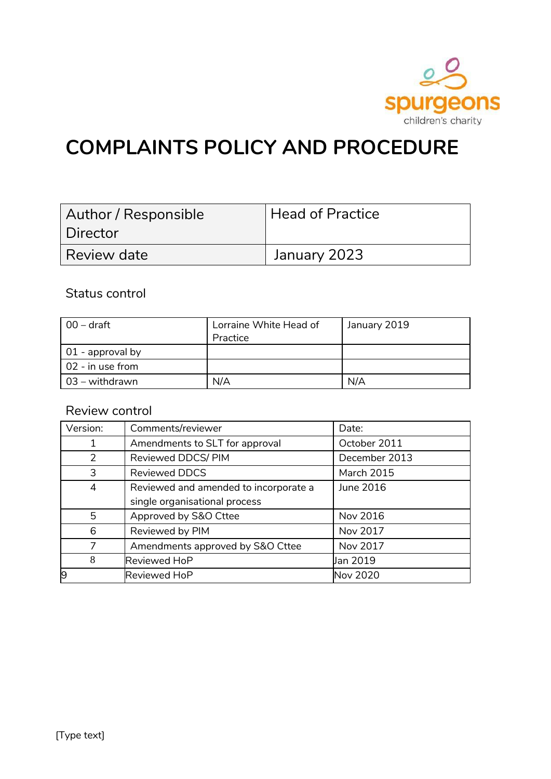

# **COMPLAINTS POLICY AND PROCEDURE**

| Author / Responsible<br>Director | <b>Head of Practice</b> |
|----------------------------------|-------------------------|
| Review date                      | January 2023            |

# Status control

| 00 – draft               | Lorraine White Head of<br>Practice | January 2019 |
|--------------------------|------------------------------------|--------------|
| $\vert$ 01 - approval by |                                    |              |
| 02 - in use from         |                                    |              |
| 03 – withdrawn           | N/A                                | N/A          |

# Review control

| Version: | Comments/reviewer                     | Date:             |
|----------|---------------------------------------|-------------------|
|          | Amendments to SLT for approval        | October 2011      |
| 2        | Reviewed DDCS/ PIM                    | December 2013     |
| 3        | <b>Reviewed DDCS</b>                  | <b>March 2015</b> |
| 4        | Reviewed and amended to incorporate a | June 2016         |
|          | single organisational process         |                   |
| 5        | Approved by S&O Cttee                 | Nov 2016          |
| 6        | Reviewed by PIM                       | Nov 2017          |
|          | Amendments approved by S&O Cttee      | Nov 2017          |
| 8        | Reviewed HoP                          | Jan 2019          |
| 9        | Reviewed HoP                          | <b>Nov 2020</b>   |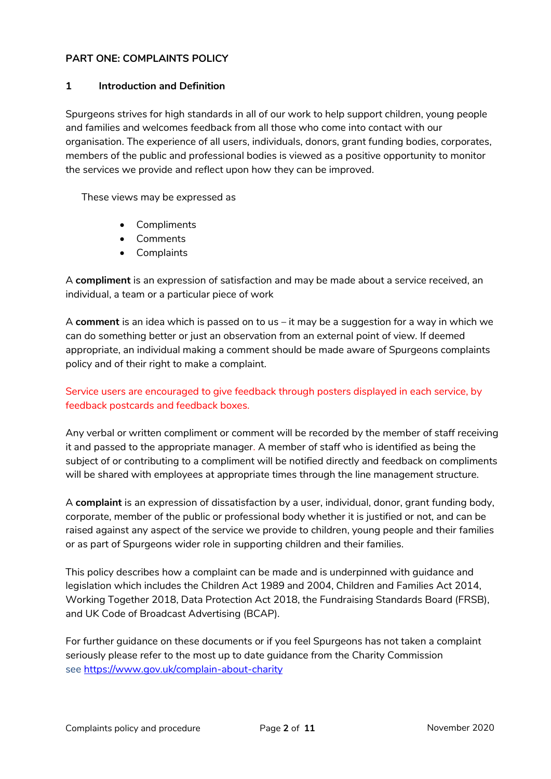# **PART ONE: COMPLAINTS POLICY**

#### **1 Introduction and Definition**

Spurgeons strives for high standards in all of our work to help support children, young people and families and welcomes feedback from all those who come into contact with our organisation. The experience of all users, individuals, donors, grant funding bodies, corporates, members of the public and professional bodies is viewed as a positive opportunity to monitor the services we provide and reflect upon how they can be improved.

These views may be expressed as

- Compliments
- Comments
- Complaints

A **compliment** is an expression of satisfaction and may be made about a service received, an individual, a team or a particular piece of work

A **comment** is an idea which is passed on to us – it may be a suggestion for a way in which we can do something better or just an observation from an external point of view. If deemed appropriate, an individual making a comment should be made aware of Spurgeons complaints policy and of their right to make a complaint.

# Service users are encouraged to give feedback through posters displayed in each service, by feedback postcards and feedback boxes.

Any verbal or written compliment or comment will be recorded by the member of staff receiving it and passed to the appropriate manager. A member of staff who is identified as being the subject of or contributing to a compliment will be notified directly and feedback on compliments will be shared with employees at appropriate times through the line management structure.

A **complaint** is an expression of dissatisfaction by a user, individual, donor, grant funding body, corporate, member of the public or professional body whether it is justified or not, and can be raised against any aspect of the service we provide to children, young people and their families or as part of Spurgeons wider role in supporting children and their families.

This policy describes how a complaint can be made and is underpinned with guidance and legislation which includes the Children Act 1989 and 2004, Children and Families Act 2014, Working Together 2018, Data Protection Act 2018, the Fundraising Standards Board (FRSB), and UK Code of Broadcast Advertising (BCAP).

For further guidance on these documents or if you feel Spurgeons has not taken a complaint seriously please refer to the most up to date guidance from the Charity Commission see<https://www.gov.uk/complain-about-charity>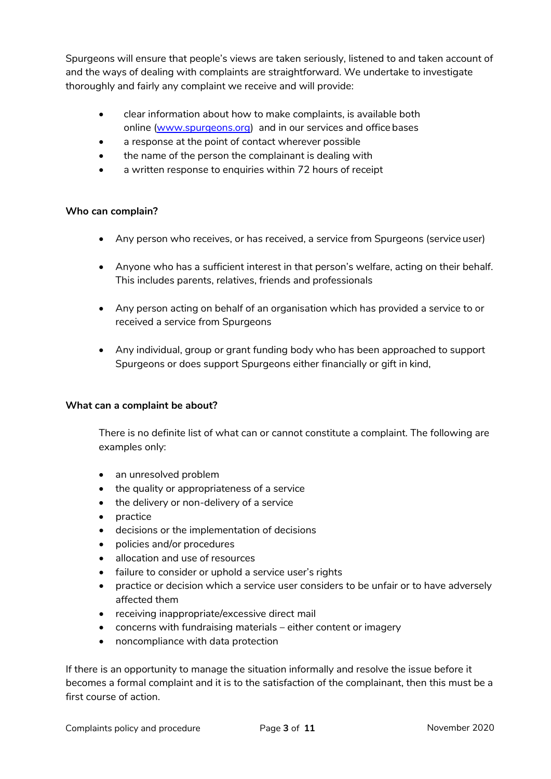Spurgeons will ensure that people's views are taken seriously, listened to and taken account of and the ways of dealing with complaints are straightforward. We undertake to investigate thoroughly and fairly any complaint we receive and will provide:

- clear information about how to make complaints, is available both online [\(www.spurgeons.org\)](http://www.spurgeons.org/) and in our services and office bases
- a response at the point of contact wherever possible
- the name of the person the complainant is dealing with
- a written response to enquiries within 72 hours of receipt

# **Who can complain?**

- Any person who receives, or has received, a service from Spurgeons (service user)
- Anyone who has a sufficient interest in that person's welfare, acting on their behalf. This includes parents, relatives, friends and professionals
- Any person acting on behalf of an organisation which has provided a service to or received a service from Spurgeons
- Any individual, group or grant funding body who has been approached to support Spurgeons or does support Spurgeons either financially or gift in kind,

# **What can a complaint be about?**

There is no definite list of what can or cannot constitute a complaint. The following are examples only:

- an unresolved problem
- the quality or appropriateness of a service
- the delivery or non-delivery of a service
- practice
- decisions or the implementation of decisions
- policies and/or procedures
- allocation and use of resources
- failure to consider or uphold a service user's rights
- practice or decision which a service user considers to be unfair or to have adversely affected them
- receiving inappropriate/excessive direct mail
- concerns with fundraising materials either content or imagery
- noncompliance with data protection

If there is an opportunity to manage the situation informally and resolve the issue before it becomes a formal complaint and it is to the satisfaction of the complainant, then this must be a first course of action.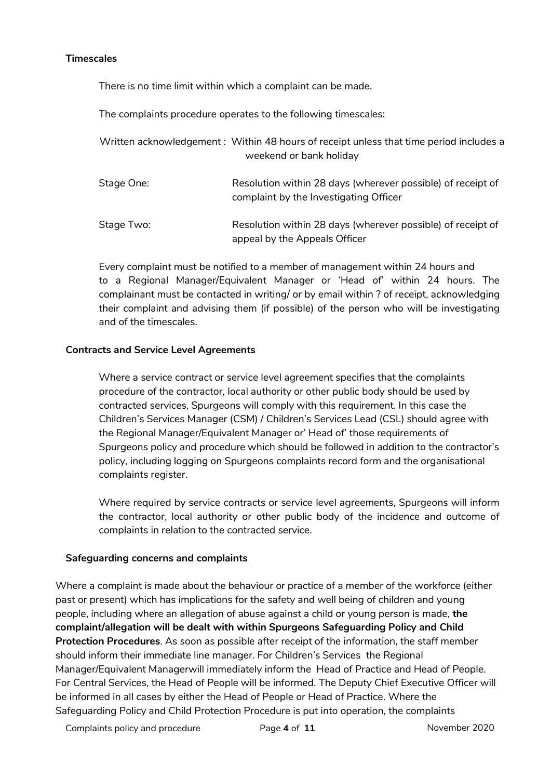#### **Timescales**

There is no time limit within which a complaint can be made.

The complaints procedure operates to the following timescales:

Written acknowledgement : Within 48 hours of receipt unless that time period includes a weekend or bank holiday

Stage One: Resolution within 28 days (wherever possible) of receipt of complaint by the Investigating Officer Stage Two: Resolution within 28 days (wherever possible) of receipt of

appeal by the Appeals Officer

Every complaint must be notified to a member of management within 24 hours and to a Regional Manager/Equivalent Manager or 'Head of' within 24 hours. The complainant must be contacted in writing/ or by email within ? of receipt, acknowledging their complaint and advising them (if possible) of the person who will be investigating and of the timescales.

# **Contracts and Service Level Agreements**

Where a service contract or service level agreement specifies that the complaints procedure of the contractor, local authority or other public body should be used by contracted services, Spurgeons will comply with this requirement. In this case the Children's Services Manager (CSM) / Children's Services Lead (CSL) should agree with the Regional Manager/Equivalent Manager or' Head of' those requirements of Spurgeons policy and procedure which should be followed in addition to the contractor's policy, including logging on Spurgeons complaints record form and the organisational complaints register.

Where required by service contracts or service level agreements, Spurgeons will inform the contractor, local authority or other public body of the incidence and outcome of complaints in relation to the contracted service.

#### **Safeguarding concerns and complaints**

Where a complaint is made about the behaviour or practice of a member of the workforce (either past or present) which has implications for the safety and well being of children and young people, including where an allegation of abuse against a child or young person is made, **the complaint/allegation will be dealt with within Spurgeons Safeguarding Policy and Child Protection Procedures**. As soon as possible after receipt of the information, the staff member should inform their immediate line manager. For Children's Services the Regional Manager/Equivalent Managerwill immediately inform the Head of Practice and Head of People. For Central Services, the Head of People will be informed. The Deputy Chief Executive Officer will be informed in all cases by either the Head of People or Head of Practice. Where the Safeguarding Policy and Child Protection Procedure is put into operation, the complaints

Complaints policy and procedure Page **4** of **11** November 2020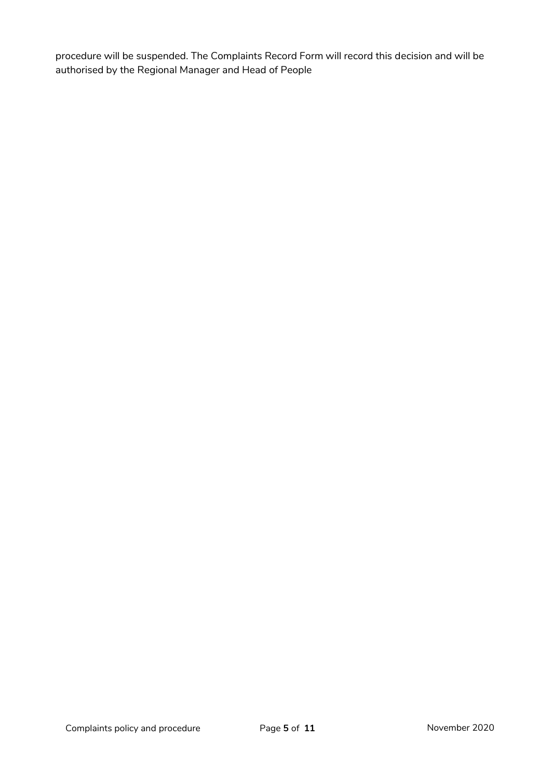procedure will be suspended. The Complaints Record Form will record this decision and will be authorised by the Regional Manager and Head of People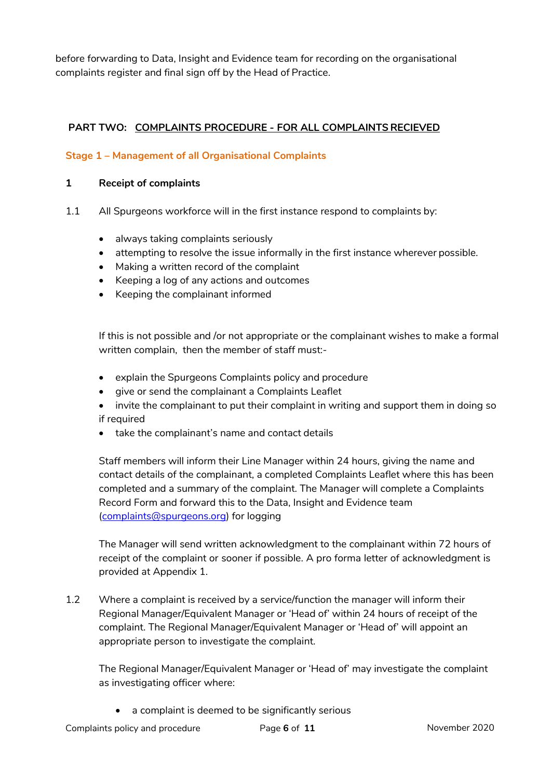before forwarding to Data, Insight and Evidence team for recording on the organisational complaints register and final sign off by the Head of Practice.

# **PART TWO: COMPLAINTS PROCEDURE - FOR ALL COMPLAINTSRECIEVED**

# **Stage 1 – Management of all Organisational Complaints**

#### **1 Receipt of complaints**

- 1.1 All Spurgeons workforce will in the first instance respond to complaints by:
	- always taking complaints seriously
	- attempting to resolve the issue informally in the first instance wherever possible.
	- Making a written record of the complaint
	- Keeping a log of any actions and outcomes
	- Keeping the complainant informed

If this is not possible and /or not appropriate or the complainant wishes to make a formal written complain, then the member of staff must:-

- explain the Spurgeons Complaints policy and procedure
- give or send the complainant a Complaints Leaflet
- invite the complainant to put their complaint in writing and support them in doing so if required
- take the complainant's name and contact details

Staff members will inform their Line Manager within 24 hours, giving the name and contact details of the complainant, a completed Complaints Leaflet where this has been completed and a summary of the complaint. The Manager will complete a Complaints Record Form and forward this to the Data, Insight and Evidence team [\(complaints@spurgeons.org\)](mailto:complaints@spurgeons.org) for logging

The Manager will send written acknowledgment to the complainant within 72 hours of receipt of the complaint or sooner if possible. A pro forma letter of acknowledgment is provided at Appendix 1.

1.2 Where a complaint is received by a service/function the manager will inform their Regional Manager/Equivalent Manager or 'Head of' within 24 hours of receipt of the complaint. The Regional Manager/Equivalent Manager or 'Head of' will appoint an appropriate person to investigate the complaint.

The Regional Manager/Equivalent Manager or 'Head of' may investigate the complaint as investigating officer where:

• a complaint is deemed to be significantly serious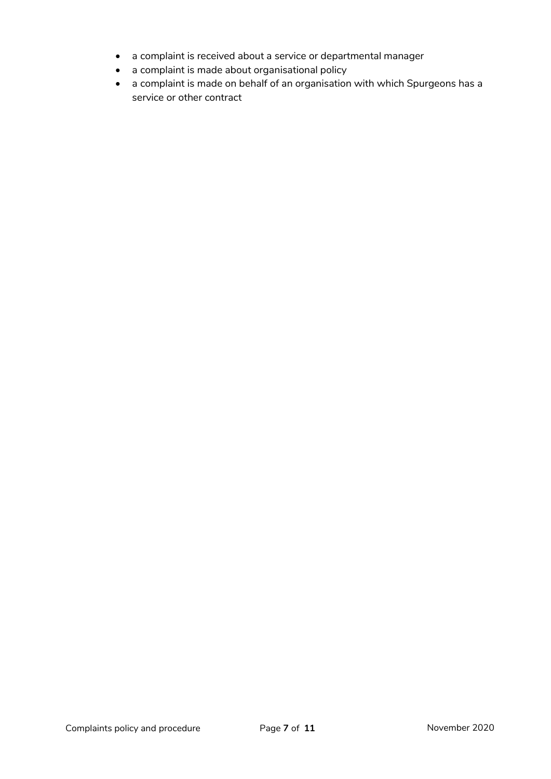- a complaint is received about a service or departmental manager
- a complaint is made about organisational policy
- a complaint is made on behalf of an organisation with which Spurgeons has a service or other contract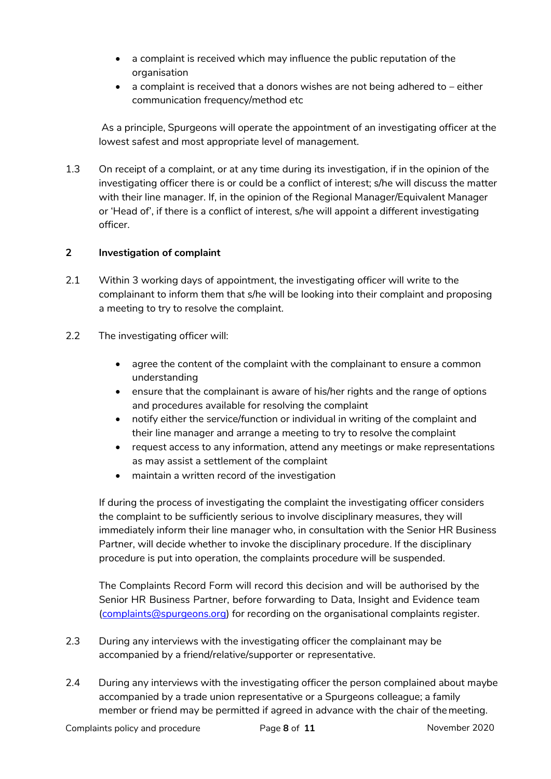- a complaint is received which may influence the public reputation of the organisation
- $\bullet$  a complaint is received that a donors wishes are not being adhered to either communication frequency/method etc

As a principle, Spurgeons will operate the appointment of an investigating officer at the lowest safest and most appropriate level of management.

1.3 On receipt of a complaint, or at any time during its investigation, if in the opinion of the investigating officer there is or could be a conflict of interest; s/he will discuss the matter with their line manager. If, in the opinion of the Regional Manager/Equivalent Manager or 'Head of', if there is a conflict of interest, s/he will appoint a different investigating officer.

# **2 Investigation of complaint**

- 2.1 Within 3 working days of appointment, the investigating officer will write to the complainant to inform them that s/he will be looking into their complaint and proposing a meeting to try to resolve the complaint.
- 2.2 The investigating officer will:
	- agree the content of the complaint with the complainant to ensure a common understanding
	- ensure that the complainant is aware of his/her rights and the range of options and procedures available for resolving the complaint
	- notify either the service/function or individual in writing of the complaint and their line manager and arrange a meeting to try to resolve the complaint
	- request access to any information, attend any meetings or make representations as may assist a settlement of the complaint
	- maintain a written record of the investigation

If during the process of investigating the complaint the investigating officer considers the complaint to be sufficiently serious to involve disciplinary measures, they will immediately inform their line manager who, in consultation with the Senior HR Business Partner, will decide whether to invoke the disciplinary procedure. If the disciplinary procedure is put into operation, the complaints procedure will be suspended.

The Complaints Record Form will record this decision and will be authorised by the Senior HR Business Partner, before forwarding to Data, Insight and Evidence team [\(complaints@spurgeons.org\)](mailto:complaints@spurgeons.org) for recording on the organisational complaints register.

- 2.3 During any interviews with the investigating officer the complainant may be accompanied by a friend/relative/supporter or representative.
- 2.4 During any interviews with the investigating officer the person complained about maybe accompanied by a trade union representative or a Spurgeons colleague; a family member or friend may be permitted if agreed in advance with the chair of themeeting.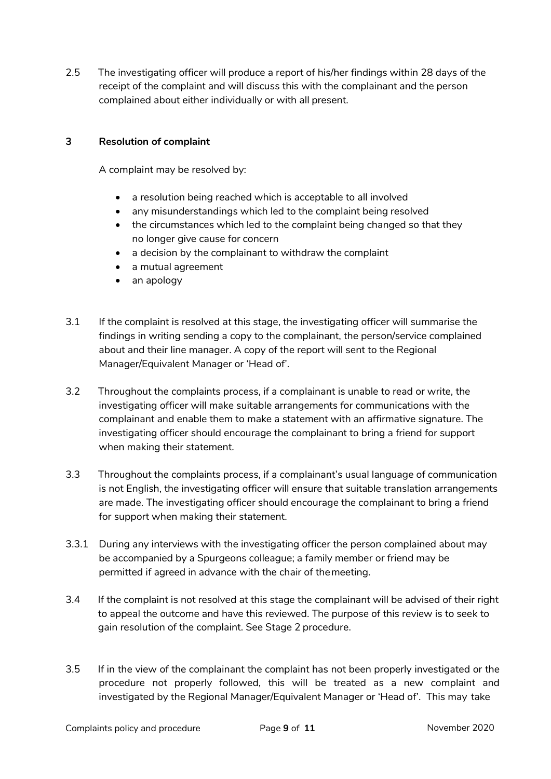2.5 The investigating officer will produce a report of his/her findings within 28 days of the receipt of the complaint and will discuss this with the complainant and the person complained about either individually or with all present.

# **3 Resolution of complaint**

A complaint may be resolved by:

- a resolution being reached which is acceptable to all involved
- any misunderstandings which led to the complaint being resolved
- the circumstances which led to the complaint being changed so that they no longer give cause for concern
- a decision by the complainant to withdraw the complaint
- a mutual agreement
- an apology
- 3.1 If the complaint is resolved at this stage, the investigating officer will summarise the findings in writing sending a copy to the complainant, the person/service complained about and their line manager. A copy of the report will sent to the Regional Manager/Equivalent Manager or 'Head of'.
- 3.2 Throughout the complaints process, if a complainant is unable to read or write, the investigating officer will make suitable arrangements for communications with the complainant and enable them to make a statement with an affirmative signature. The investigating officer should encourage the complainant to bring a friend for support when making their statement.
- 3.3 Throughout the complaints process, if a complainant's usual language of communication is not English, the investigating officer will ensure that suitable translation arrangements are made. The investigating officer should encourage the complainant to bring a friend for support when making their statement.
- 3.3.1 During any interviews with the investigating officer the person complained about may be accompanied by a Spurgeons colleague; a family member or friend may be permitted if agreed in advance with the chair of themeeting.
- 3.4 If the complaint is not resolved at this stage the complainant will be advised of their right to appeal the outcome and have this reviewed. The purpose of this review is to seek to gain resolution of the complaint. See Stage 2 procedure.
- 3.5 If in the view of the complainant the complaint has not been properly investigated or the procedure not properly followed, this will be treated as a new complaint and investigated by the Regional Manager/Equivalent Manager or 'Head of'. This may take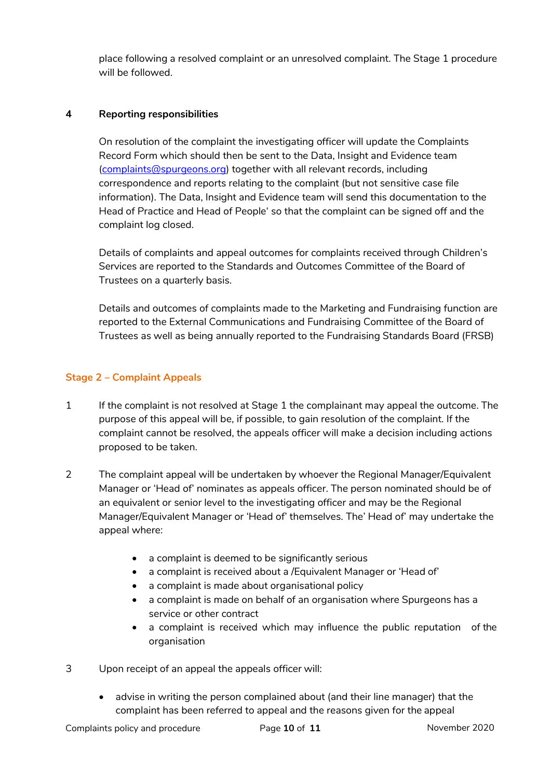place following a resolved complaint or an unresolved complaint. The Stage 1 procedure will be followed.

# **4 Reporting responsibilities**

On resolution of the complaint the investigating officer will update the Complaints Record Form which should then be sent to the Data, Insight and Evidence team [\(complaints@spurgeons.org\)](mailto:complaints@spurgeons.org) together with all relevant records, including correspondence and reports relating to the complaint (but not sensitive case file information). The Data, Insight and Evidence team will send this documentation to the Head of Practice and Head of People' so that the complaint can be signed off and the complaint log closed.

Details of complaints and appeal outcomes for complaints received through Children's Services are reported to the Standards and Outcomes Committee of the Board of Trustees on a quarterly basis.

Details and outcomes of complaints made to the Marketing and Fundraising function are reported to the External Communications and Fundraising Committee of the Board of Trustees as well as being annually reported to the Fundraising Standards Board (FRSB)

# **Stage 2 – Complaint Appeals**

- 1 If the complaint is not resolved at Stage 1 the complainant may appeal the outcome. The purpose of this appeal will be, if possible, to gain resolution of the complaint. If the complaint cannot be resolved, the appeals officer will make a decision including actions proposed to be taken.
- 2 The complaint appeal will be undertaken by whoever the Regional Manager/Equivalent Manager or 'Head of' nominates as appeals officer. The person nominated should be of an equivalent or senior level to the investigating officer and may be the Regional Manager/Equivalent Manager or 'Head of' themselves. The' Head of' may undertake the appeal where:
	- a complaint is deemed to be significantly serious
	- a complaint is received about a /Equivalent Manager or 'Head of'
	- a complaint is made about organisational policy
	- a complaint is made on behalf of an organisation where Spurgeons has a service or other contract
	- a complaint is received which may influence the public reputation of the organisation
- 3 Upon receipt of an appeal the appeals officer will:
	- advise in writing the person complained about (and their line manager) that the complaint has been referred to appeal and the reasons given for the appeal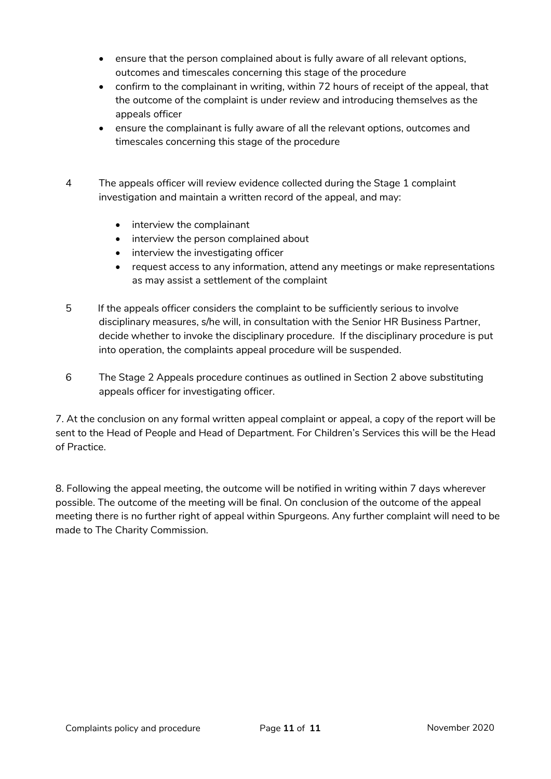- ensure that the person complained about is fully aware of all relevant options, outcomes and timescales concerning this stage of the procedure
- confirm to the complainant in writing, within 72 hours of receipt of the appeal, that the outcome of the complaint is under review and introducing themselves as the appeals officer
- ensure the complainant is fully aware of all the relevant options, outcomes and timescales concerning this stage of the procedure
- 4 The appeals officer will review evidence collected during the Stage 1 complaint investigation and maintain a written record of the appeal, and may:
	- interview the complainant
	- interview the person complained about
	- interview the investigating officer
	- request access to any information, attend any meetings or make representations as may assist a settlement of the complaint
- 5 If the appeals officer considers the complaint to be sufficiently serious to involve disciplinary measures, s/he will, in consultation with the Senior HR Business Partner, decide whether to invoke the disciplinary procedure. If the disciplinary procedure is put into operation, the complaints appeal procedure will be suspended.
- 6 The Stage 2 Appeals procedure continues as outlined in Section 2 above substituting appeals officer for investigating officer.

7. At the conclusion on any formal written appeal complaint or appeal, a copy of the report will be sent to the Head of People and Head of Department. For Children's Services this will be the Head of Practice.

8. Following the appeal meeting, the outcome will be notified in writing within 7 days wherever possible. The outcome of the meeting will be final. On conclusion of the outcome of the appeal meeting there is no further right of appeal within Spurgeons. Any further complaint will need to be made to The Charity Commission.